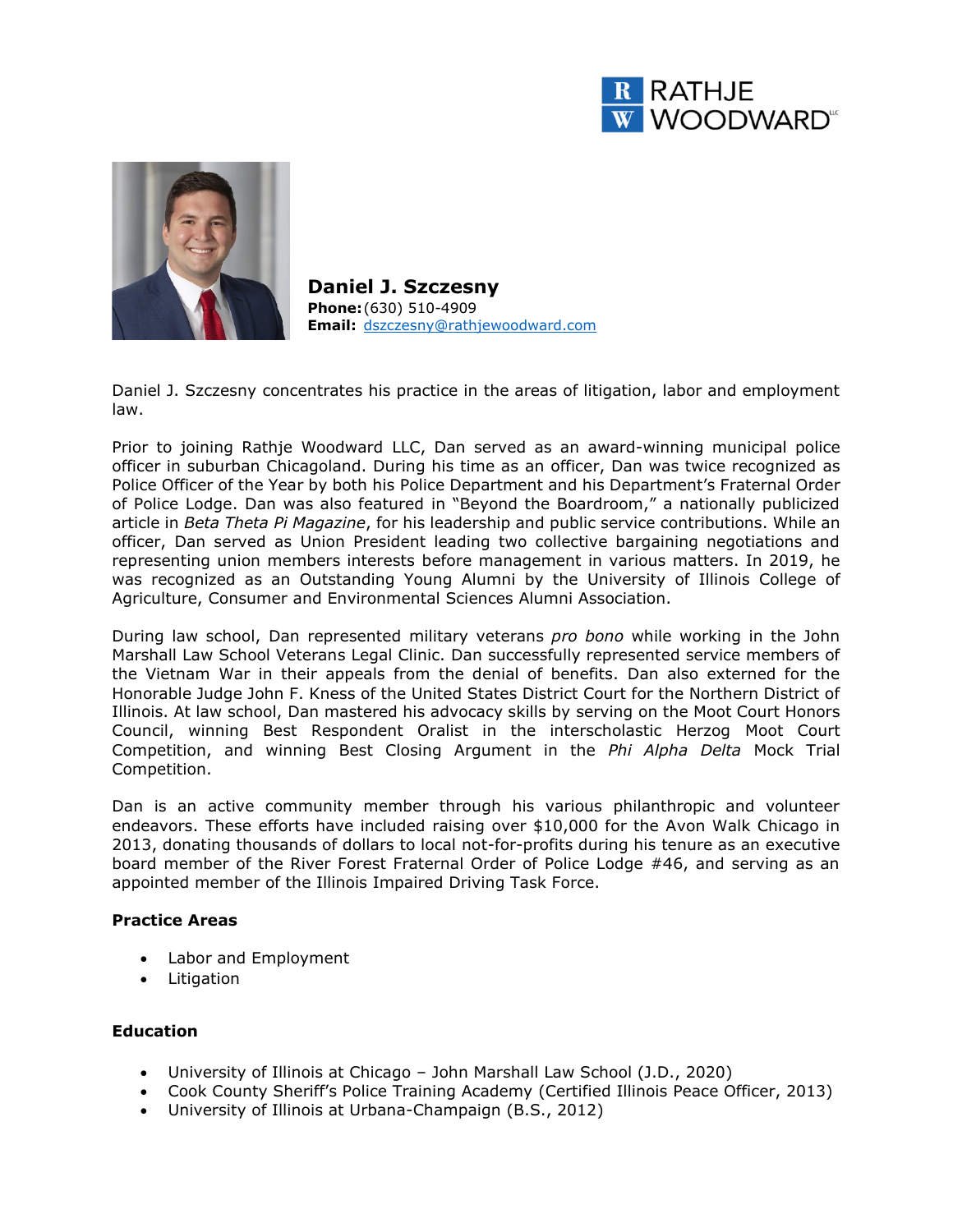



**Daniel J. Szczesny Phone:**(630) 510-4909 **Email:** [dszczesny@rathjewoodward.com](mailto:dszczesny@rathjewoodward.com)

Daniel J. Szczesny concentrates his practice in the areas of litigation, labor and employment law.

Prior to joining Rathje Woodward LLC, Dan served as an award-winning municipal police officer in suburban Chicagoland. During his time as an officer, Dan was twice recognized as Police Officer of the Year by both his Police Department and his Department's Fraternal Order of Police Lodge. Dan was also featured in "Beyond the Boardroom," a nationally publicized article in *Beta Theta Pi Magazine*, for his leadership and public service contributions. While an officer, Dan served as Union President leading two collective bargaining negotiations and representing union members interests before management in various matters. In 2019, he was recognized as an Outstanding Young Alumni by the University of Illinois College of Agriculture, Consumer and Environmental Sciences Alumni Association.

During law school, Dan represented military veterans *pro bono* while working in the John Marshall Law School Veterans Legal Clinic. Dan successfully represented service members of the Vietnam War in their appeals from the denial of benefits. Dan also externed for the Honorable Judge John F. Kness of the United States District Court for the Northern District of Illinois. At law school, Dan mastered his advocacy skills by serving on the Moot Court Honors Council, winning Best Respondent Oralist in the interscholastic Herzog Moot Court Competition, and winning Best Closing Argument in the *Phi Alpha Delta* Mock Trial Competition.

Dan is an active community member through his various philanthropic and volunteer endeavors. These efforts have included raising over \$10,000 for the Avon Walk Chicago in 2013, donating thousands of dollars to local not-for-profits during his tenure as an executive board member of the River Forest Fraternal Order of Police Lodge #46, and serving as an appointed member of the Illinois Impaired Driving Task Force.

## **Practice Areas**

- Labor and Employment
- Litigation

#### **Education**

- University of Illinois at Chicago John Marshall Law School (J.D., 2020)
- Cook County Sheriff's Police Training Academy (Certified Illinois Peace Officer, 2013)
- University of Illinois at Urbana-Champaign (B.S., 2012)